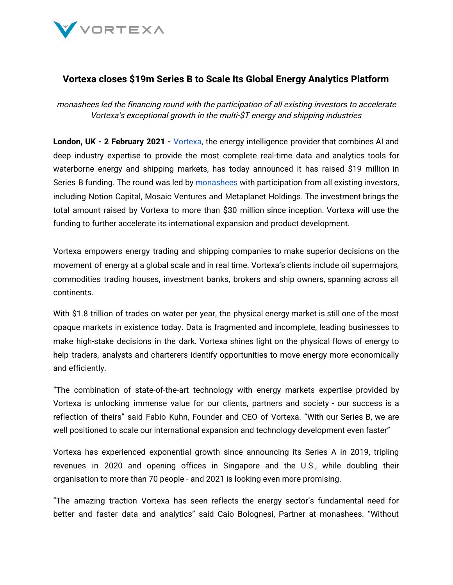

## **Vortexa closes \$19m Series B to Scale Its Global Energy Analytics Platform**

monashees led the financing round with the participation of all existing investors to accelerate Vortexa's exceptional growth in the multi-\$T energy and shipping industries

**London, UK - 2 February 2021 -** [Vortexa](https://www.vortexa.com/), the energy intelligence provider that combines AI and deep industry expertise to provide the most complete real-time data and analytics tools for waterborne energy and shipping markets, has today announced it has raised \$19 million in Series B funding. The round was led by [monashees](https://monashees.com.br/en/) with participation from all existing investors, including Notion Capital, Mosaic Ventures and Metaplanet Holdings. The investment brings the total amount raised by Vortexa to more than \$30 million since inception. Vortexa will use the funding to further accelerate its international expansion and product development.

Vortexa empowers energy trading and shipping companies to make superior decisions on the movement of energy at a global scale and in real time. Vortexa's clients include oil supermajors, commodities trading houses, investment banks, brokers and ship owners, spanning across all continents.

With \$1.8 trillion of trades on water per year, the physical energy market is still one of the most opaque markets in existence today. Data is fragmented and incomplete, leading businesses to make high-stake decisions in the dark. Vortexa shines light on the physical flows of energy to help traders, analysts and charterers identify opportunities to move energy more economically and efficiently.

"The combination of state-of-the-art technology with energy markets expertise provided by Vortexa is unlocking immense value for our clients, partners and society - our success is a reflection of theirs" said Fabio Kuhn, Founder and CEO of Vortexa. "With our Series B, we are well positioned to scale our international expansion and technology development even faster"

Vortexa has experienced exponential growth since announcing its Series A in 2019, tripling revenues in 2020 and opening offices in Singapore and the U.S., while doubling their organisation to more than 70 people - and 2021 is looking even more promising.

"The amazing traction Vortexa has seen reflects the energy sector's fundamental need for better and faster data and analytics" said Caio Bolognesi, Partner at monashees. "Without